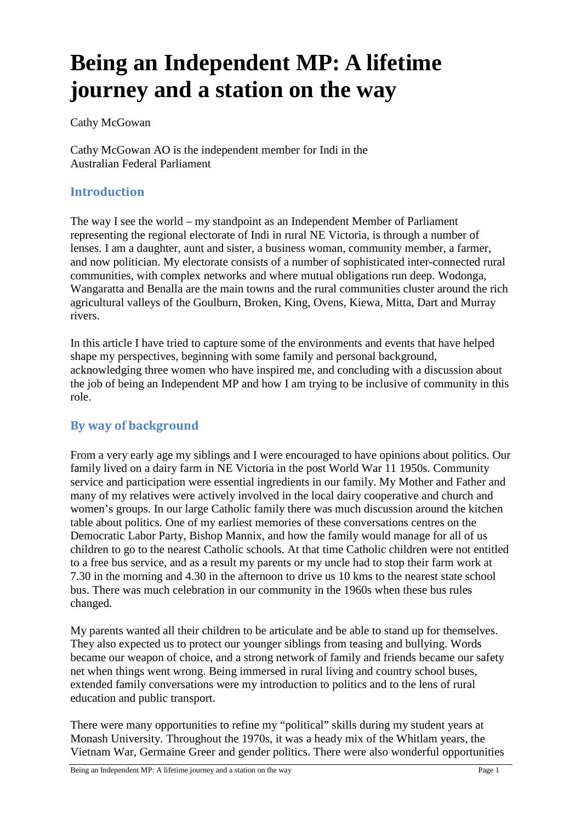# **Being an Independent MP: A lifetime journey and a station on the way**

Cathy McGowan

Cathy McGowan AO is the independent member for Indi in the Australian Federal Parliament

#### **Introduction**

The way I see the world – my standpoint as an Independent Member of Parliament representing the regional electorate of Indi in rural NE Victoria, is through a number of lenses. I am a daughter, aunt and sister, a business woman, community member, a farmer, and now politician. My electorate consists of a number of sophisticated inter-connected rural communities, with complex networks and where mutual obligations run deep. Wodonga, Wangaratta and Benalla are the main towns and the rural communities cluster around the rich agricultural valleys of the Goulburn, Broken, King, Ovens, Kiewa, Mitta, Dart and Murray rivers.

In this article I have tried to capture some of the environments and events that have helped shape my perspectives, beginning with some family and personal background, acknowledging three women who have inspired me, and concluding with a discussion about the job of being an Independent MP and how I am trying to be inclusive of community in this role.

#### **By way of background**

From a very early age my siblings and I were encouraged to have opinions about politics. Our family lived on a dairy farm in NE Victoria in the post World War 11 1950s. Community service and participation were essential ingredients in our family. My Mother and Father and many of my relatives were actively involved in the local dairy cooperative and church and women's groups. In our large Catholic family there was much discussion around the kitchen table about politics. One of my earliest memories of these conversations centres on the Democratic Labor Party, Bishop Mannix, and how the family would manage for all of us children to go to the nearest Catholic schools. At that time Catholic children were not entitled to a free bus service, and as a result my parents or my uncle had to stop their farm work at 7.30 in the morning and 4.30 in the afternoon to drive us 10 kms to the nearest state school bus. There was much celebration in our community in the 1960s when these bus rules changed.

My parents wanted all their children to be articulate and be able to stand up for themselves. They also expected us to protect our younger siblings from teasing and bullying. Words became our weapon of choice, and a strong network of family and friends became our safety net when things went wrong. Being immersed in rural living and country school buses, extended family conversations were my introduction to politics and to the lens of rural education and public transport.

There were many opportunities to refine my "political" skills during my student years at Monash University. Throughout the 1970s, it was a heady mix of the Whitlam years, the Vietnam War, Germaine Greer and gender politics. There were also wonderful opportunities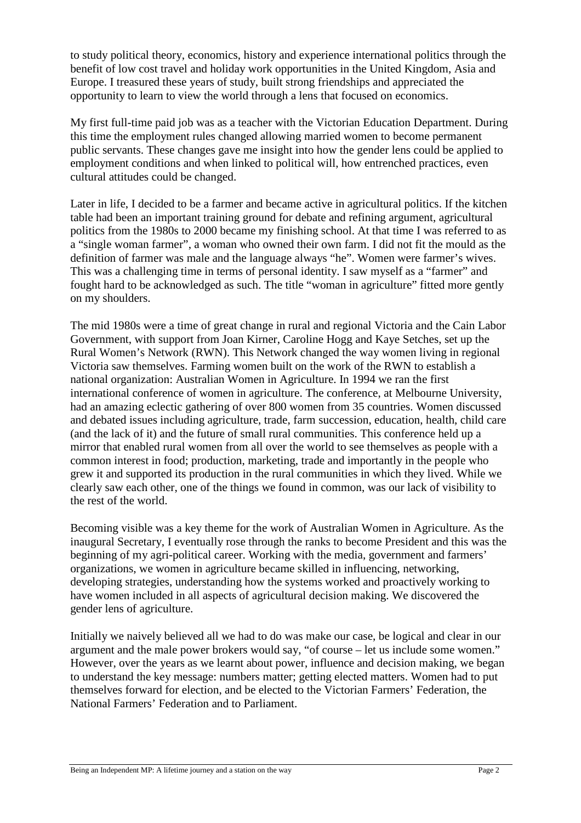to study political theory, economics, history and experience international politics through the benefit of low cost travel and holiday work opportunities in the United Kingdom, Asia and Europe. I treasured these years of study, built strong friendships and appreciated the opportunity to learn to view the world through a lens that focused on economics.

My first full-time paid job was as a teacher with the Victorian Education Department. During this time the employment rules changed allowing married women to become permanent public servants. These changes gave me insight into how the gender lens could be applied to employment conditions and when linked to political will, how entrenched practices, even cultural attitudes could be changed.

Later in life, I decided to be a farmer and became active in agricultural politics. If the kitchen table had been an important training ground for debate and refining argument, agricultural politics from the 1980s to 2000 became my finishing school. At that time I was referred to as a "single woman farmer", a woman who owned their own farm. I did not fit the mould as the definition of farmer was male and the language always "he". Women were farmer's wives. This was a challenging time in terms of personal identity. I saw myself as a "farmer" and fought hard to be acknowledged as such. The title "woman in agriculture" fitted more gently on my shoulders.

The mid 1980s were a time of great change in rural and regional Victoria and the Cain Labor Government, with support from Joan Kirner, Caroline Hogg and Kaye Setches, set up the Rural Women's Network (RWN). This Network changed the way women living in regional Victoria saw themselves. Farming women built on the work of the RWN to establish a national organization: Australian Women in Agriculture. In 1994 we ran the first international conference of women in agriculture. The conference, at Melbourne University, had an amazing eclectic gathering of over 800 women from 35 countries. Women discussed and debated issues including agriculture, trade, farm succession, education, health, child care (and the lack of it) and the future of small rural communities. This conference held up a mirror that enabled rural women from all over the world to see themselves as people with a common interest in food; production, marketing, trade and importantly in the people who grew it and supported its production in the rural communities in which they lived. While we clearly saw each other, one of the things we found in common, was our lack of visibility to the rest of the world.

Becoming visible was a key theme for the work of Australian Women in Agriculture. As the inaugural Secretary, I eventually rose through the ranks to become President and this was the beginning of my agri-political career. Working with the media, government and farmers' organizations, we women in agriculture became skilled in influencing, networking, developing strategies, understanding how the systems worked and proactively working to have women included in all aspects of agricultural decision making. We discovered the gender lens of agriculture.

Initially we naively believed all we had to do was make our case, be logical and clear in our argument and the male power brokers would say, "of course – let us include some women." However, over the years as we learnt about power, influence and decision making, we began to understand the key message: numbers matter; getting elected matters. Women had to put themselves forward for election, and be elected to the Victorian Farmers' Federation, the National Farmers' Federation and to Parliament.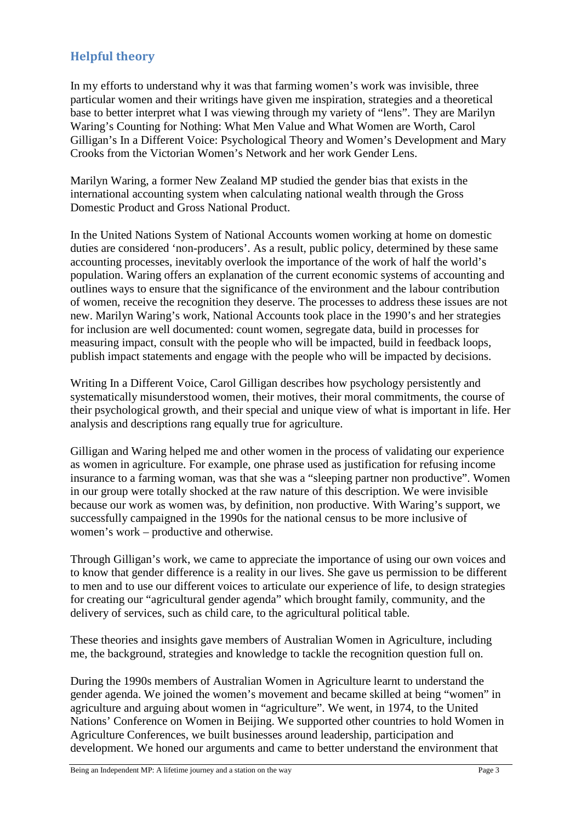## **Helpful theory**

In my efforts to understand why it was that farming women's work was invisible, three particular women and their writings have given me inspiration, strategies and a theoretical base to better interpret what I was viewing through my variety of "lens". They are Marilyn Waring's Counting for Nothing: What Men Value and What Women are Worth, Carol Gilligan's In a Different Voice: Psychological Theory and Women's Development and Mary Crooks from the Victorian Women's Network and her work Gender Lens.

Marilyn Waring, a former New Zealand MP studied the gender bias that exists in the international accounting system when calculating national wealth through the Gross Domestic Product and Gross National Product.

In the United Nations System of National Accounts women working at home on domestic duties are considered 'non-producers'. As a result, public policy, determined by these same accounting processes, inevitably overlook the importance of the work of half the world's population. Waring offers an explanation of the current economic systems of accounting and outlines ways to ensure that the significance of the environment and the labour contribution of women, receive the recognition they deserve. The processes to address these issues are not new. Marilyn Waring's work, National Accounts took place in the 1990's and her strategies for inclusion are well documented: count women, segregate data, build in processes for measuring impact, consult with the people who will be impacted, build in feedback loops, publish impact statements and engage with the people who will be impacted by decisions.

Writing In a Different Voice, Carol Gilligan describes how psychology persistently and systematically misunderstood women, their motives, their moral commitments, the course of their psychological growth, and their special and unique view of what is important in life. Her analysis and descriptions rang equally true for agriculture.

Gilligan and Waring helped me and other women in the process of validating our experience as women in agriculture. For example, one phrase used as justification for refusing income insurance to a farming woman, was that she was a "sleeping partner non productive". Women in our group were totally shocked at the raw nature of this description. We were invisible because our work as women was, by definition, non productive. With Waring's support, we successfully campaigned in the 1990s for the national census to be more inclusive of women's work – productive and otherwise.

Through Gilligan's work, we came to appreciate the importance of using our own voices and to know that gender difference is a reality in our lives. She gave us permission to be different to men and to use our different voices to articulate our experience of life, to design strategies for creating our "agricultural gender agenda" which brought family, community, and the delivery of services, such as child care, to the agricultural political table.

These theories and insights gave members of Australian Women in Agriculture, including me, the background, strategies and knowledge to tackle the recognition question full on.

During the 1990s members of Australian Women in Agriculture learnt to understand the gender agenda. We joined the women's movement and became skilled at being "women" in agriculture and arguing about women in "agriculture". We went, in 1974, to the United Nations' Conference on Women in Beijing. We supported other countries to hold Women in Agriculture Conferences, we built businesses around leadership, participation and development. We honed our arguments and came to better understand the environment that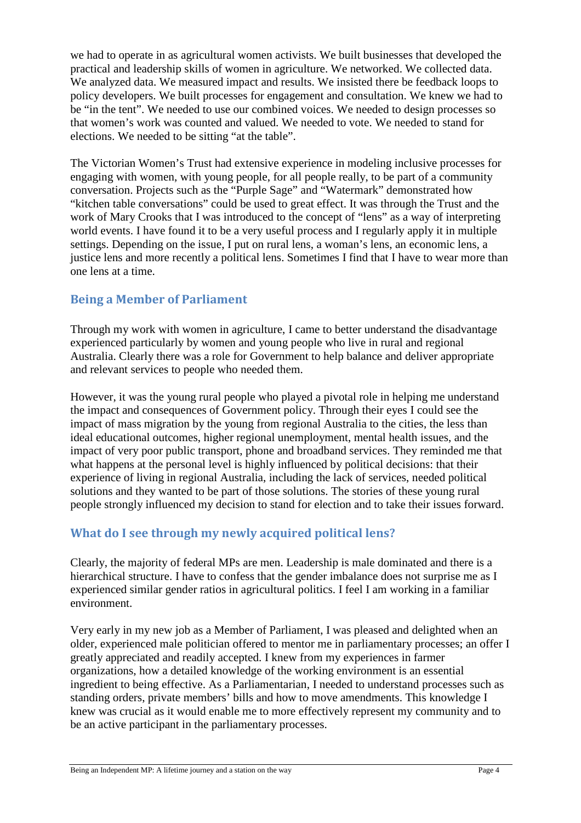we had to operate in as agricultural women activists. We built businesses that developed the practical and leadership skills of women in agriculture. We networked. We collected data. We analyzed data. We measured impact and results. We insisted there be feedback loops to policy developers. We built processes for engagement and consultation. We knew we had to be "in the tent". We needed to use our combined voices. We needed to design processes so that women's work was counted and valued. We needed to vote. We needed to stand for elections. We needed to be sitting "at the table".

The Victorian Women's Trust had extensive experience in modeling inclusive processes for engaging with women, with young people, for all people really, to be part of a community conversation. Projects such as the "Purple Sage" and "Watermark" demonstrated how "kitchen table conversations" could be used to great effect. It was through the Trust and the work of Mary Crooks that I was introduced to the concept of "lens" as a way of interpreting world events. I have found it to be a very useful process and I regularly apply it in multiple settings. Depending on the issue, I put on rural lens, a woman's lens, an economic lens, a justice lens and more recently a political lens. Sometimes I find that I have to wear more than one lens at a time.

## **Being a Member of Parliament**

Through my work with women in agriculture, I came to better understand the disadvantage experienced particularly by women and young people who live in rural and regional Australia. Clearly there was a role for Government to help balance and deliver appropriate and relevant services to people who needed them.

However, it was the young rural people who played a pivotal role in helping me understand the impact and consequences of Government policy. Through their eyes I could see the impact of mass migration by the young from regional Australia to the cities, the less than ideal educational outcomes, higher regional unemployment, mental health issues, and the impact of very poor public transport, phone and broadband services. They reminded me that what happens at the personal level is highly influenced by political decisions: that their experience of living in regional Australia, including the lack of services, needed political solutions and they wanted to be part of those solutions. The stories of these young rural people strongly influenced my decision to stand for election and to take their issues forward.

## **What do I see through my newly acquired political lens?**

Clearly, the majority of federal MPs are men. Leadership is male dominated and there is a hierarchical structure. I have to confess that the gender imbalance does not surprise me as I experienced similar gender ratios in agricultural politics. I feel I am working in a familiar environment.

Very early in my new job as a Member of Parliament, I was pleased and delighted when an older, experienced male politician offered to mentor me in parliamentary processes; an offer I greatly appreciated and readily accepted. I knew from my experiences in farmer organizations, how a detailed knowledge of the working environment is an essential ingredient to being effective. As a Parliamentarian, I needed to understand processes such as standing orders, private members' bills and how to move amendments. This knowledge I knew was crucial as it would enable me to more effectively represent my community and to be an active participant in the parliamentary processes.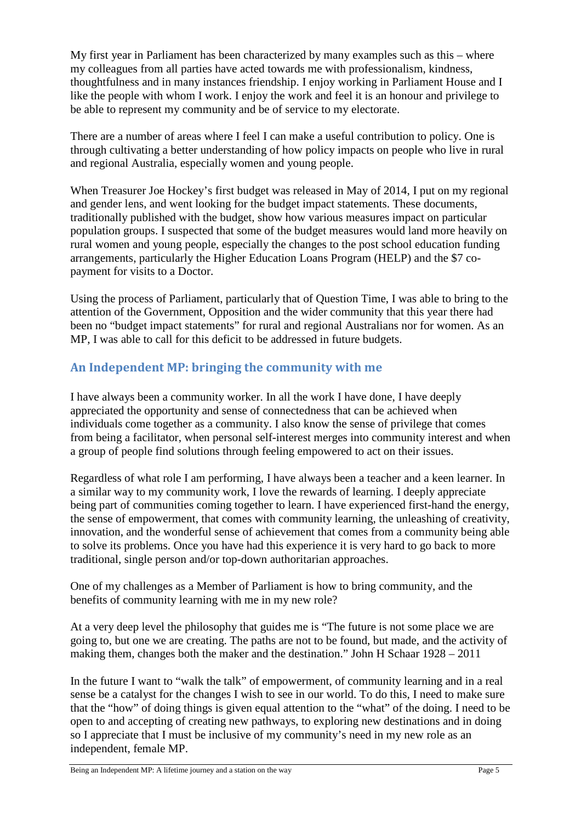My first year in Parliament has been characterized by many examples such as this – where my colleagues from all parties have acted towards me with professionalism, kindness, thoughtfulness and in many instances friendship. I enjoy working in Parliament House and I like the people with whom I work. I enjoy the work and feel it is an honour and privilege to be able to represent my community and be of service to my electorate.

There are a number of areas where I feel I can make a useful contribution to policy. One is through cultivating a better understanding of how policy impacts on people who live in rural and regional Australia, especially women and young people.

When Treasurer Joe Hockey's first budget was released in May of 2014, I put on my regional and gender lens, and went looking for the budget impact statements. These documents, traditionally published with the budget, show how various measures impact on particular population groups. I suspected that some of the budget measures would land more heavily on rural women and young people, especially the changes to the post school education funding arrangements, particularly the Higher Education Loans Program (HELP) and the \$7 copayment for visits to a Doctor.

Using the process of Parliament, particularly that of Question Time, I was able to bring to the attention of the Government, Opposition and the wider community that this year there had been no "budget impact statements" for rural and regional Australians nor for women. As an MP, I was able to call for this deficit to be addressed in future budgets.

## **An Independent MP: bringing the community with me**

I have always been a community worker. In all the work I have done, I have deeply appreciated the opportunity and sense of connectedness that can be achieved when individuals come together as a community. I also know the sense of privilege that comes from being a facilitator, when personal self-interest merges into community interest and when a group of people find solutions through feeling empowered to act on their issues.

Regardless of what role I am performing, I have always been a teacher and a keen learner. In a similar way to my community work, I love the rewards of learning. I deeply appreciate being part of communities coming together to learn. I have experienced first-hand the energy, the sense of empowerment, that comes with community learning, the unleashing of creativity, innovation, and the wonderful sense of achievement that comes from a community being able to solve its problems. Once you have had this experience it is very hard to go back to more traditional, single person and/or top-down authoritarian approaches.

One of my challenges as a Member of Parliament is how to bring community, and the benefits of community learning with me in my new role?

At a very deep level the philosophy that guides me is "The future is not some place we are going to, but one we are creating. The paths are not to be found, but made, and the activity of making them, changes both the maker and the destination." John H Schaar 1928 – 2011

In the future I want to "walk the talk" of empowerment, of community learning and in a real sense be a catalyst for the changes I wish to see in our world. To do this, I need to make sure that the "how" of doing things is given equal attention to the "what" of the doing. I need to be open to and accepting of creating new pathways, to exploring new destinations and in doing so I appreciate that I must be inclusive of my community's need in my new role as an independent, female MP.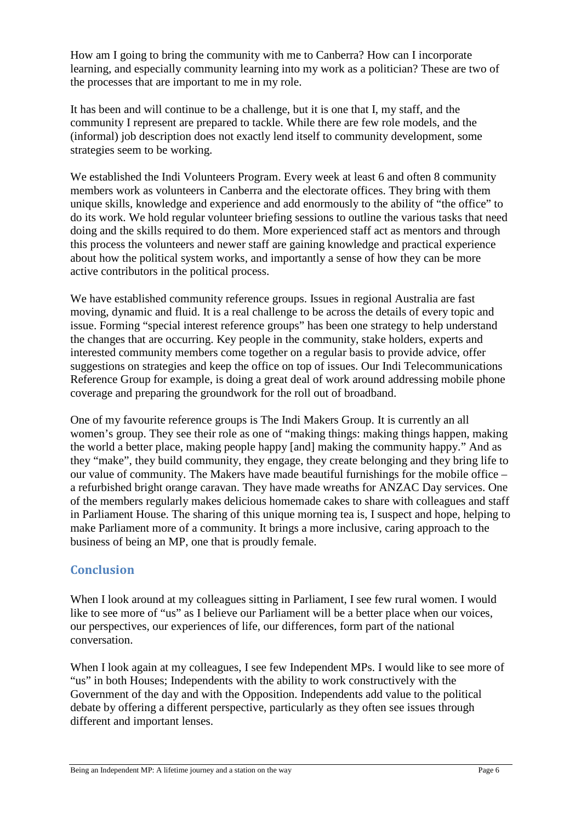How am I going to bring the community with me to Canberra? How can I incorporate learning, and especially community learning into my work as a politician? These are two of the processes that are important to me in my role.

It has been and will continue to be a challenge, but it is one that I, my staff, and the community I represent are prepared to tackle. While there are few role models, and the (informal) job description does not exactly lend itself to community development, some strategies seem to be working.

We established the Indi Volunteers Program. Every week at least 6 and often 8 community members work as volunteers in Canberra and the electorate offices. They bring with them unique skills, knowledge and experience and add enormously to the ability of "the office" to do its work. We hold regular volunteer briefing sessions to outline the various tasks that need doing and the skills required to do them. More experienced staff act as mentors and through this process the volunteers and newer staff are gaining knowledge and practical experience about how the political system works, and importantly a sense of how they can be more active contributors in the political process.

We have established community reference groups. Issues in regional Australia are fast moving, dynamic and fluid. It is a real challenge to be across the details of every topic and issue. Forming "special interest reference groups" has been one strategy to help understand the changes that are occurring. Key people in the community, stake holders, experts and interested community members come together on a regular basis to provide advice, offer suggestions on strategies and keep the office on top of issues. Our Indi Telecommunications Reference Group for example, is doing a great deal of work around addressing mobile phone coverage and preparing the groundwork for the roll out of broadband.

One of my favourite reference groups is The Indi Makers Group. It is currently an all women's group. They see their role as one of "making things: making things happen, making the world a better place, making people happy [and] making the community happy." And as they "make", they build community, they engage, they create belonging and they bring life to our value of community. The Makers have made beautiful furnishings for the mobile office – a refurbished bright orange caravan. They have made wreaths for ANZAC Day services. One of the members regularly makes delicious homemade cakes to share with colleagues and staff in Parliament House. The sharing of this unique morning tea is, I suspect and hope, helping to make Parliament more of a community. It brings a more inclusive, caring approach to the business of being an MP, one that is proudly female.

## **Conclusion**

When I look around at my colleagues sitting in Parliament, I see few rural women. I would like to see more of "us" as I believe our Parliament will be a better place when our voices, our perspectives, our experiences of life, our differences, form part of the national conversation.

When I look again at my colleagues, I see few Independent MPs. I would like to see more of "us" in both Houses; Independents with the ability to work constructively with the Government of the day and with the Opposition. Independents add value to the political debate by offering a different perspective, particularly as they often see issues through different and important lenses.